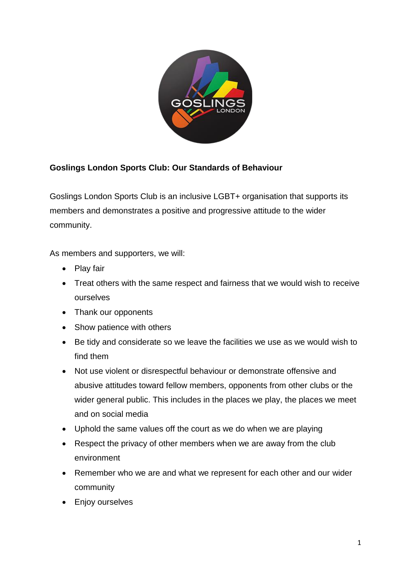

## **Goslings London Sports Club: Our Standards of Behaviour**

Goslings London Sports Club is an inclusive LGBT+ organisation that supports its members and demonstrates a positive and progressive attitude to the wider community.

As members and supporters, we will:

- Play fair
- Treat others with the same respect and fairness that we would wish to receive ourselves
- Thank our opponents
- Show patience with others
- Be tidy and considerate so we leave the facilities we use as we would wish to find them
- Not use violent or disrespectful behaviour or demonstrate offensive and abusive attitudes toward fellow members, opponents from other clubs or the wider general public. This includes in the places we play, the places we meet and on social media
- Uphold the same values off the court as we do when we are playing
- Respect the privacy of other members when we are away from the club environment
- Remember who we are and what we represent for each other and our wider community
- Enjoy ourselves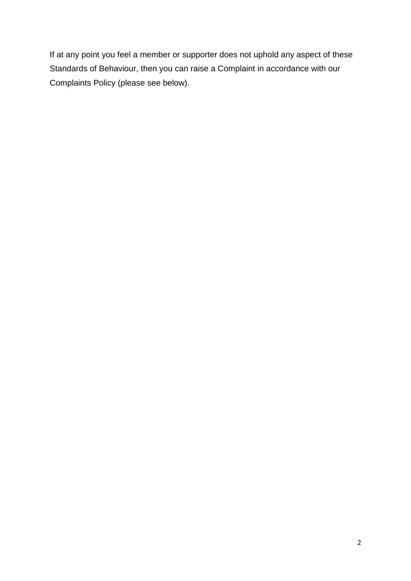If at any point you feel a member or supporter does not uphold any aspect of these Standards of Behaviour, then you can raise a Complaint in accordance with our Complaints Policy (please see below).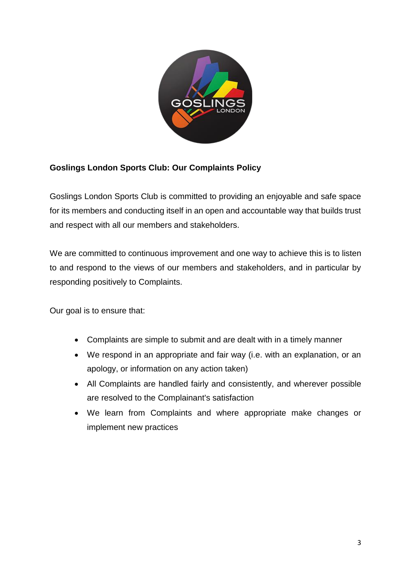

## **Goslings London Sports Club: Our Complaints Policy**

Goslings London Sports Club is committed to providing an enjoyable and safe space for its members and conducting itself in an open and accountable way that builds trust and respect with all our members and stakeholders.

We are committed to continuous improvement and one way to achieve this is to listen to and respond to the views of our members and stakeholders, and in particular by responding positively to Complaints.

Our goal is to ensure that:

- Complaints are simple to submit and are dealt with in a timely manner
- We respond in an appropriate and fair way (i.e. with an explanation, or an apology, or information on any action taken)
- All Complaints are handled fairly and consistently, and wherever possible are resolved to the Complainant's satisfaction
- We learn from Complaints and where appropriate make changes or implement new practices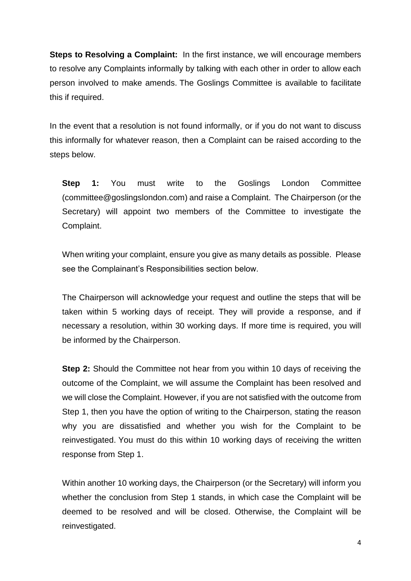**Steps to Resolving a Complaint:** In the first instance, we will encourage members to resolve any Complaints informally by talking with each other in order to allow each person involved to make amends. The Goslings Committee is available to facilitate this if required.

In the event that a resolution is not found informally, or if you do not want to discuss this informally for whatever reason, then a Complaint can be raised according to the steps below.

**Step 1:** You must write to the Goslings London Committee (committee@goslingslondon.com) and raise a Complaint. The Chairperson (or the Secretary) will appoint two members of the Committee to investigate the Complaint.

When writing your complaint, ensure you give as many details as possible. Please see the Complainant's Responsibilities section below.

The Chairperson will acknowledge your request and outline the steps that will be taken within 5 working days of receipt. They will provide a response, and if necessary a resolution, within 30 working days. If more time is required, you will be informed by the Chairperson.

**Step 2:** Should the Committee not hear from you within 10 days of receiving the outcome of the Complaint, we will assume the Complaint has been resolved and we will close the Complaint. However, if you are not satisfied with the outcome from Step 1, then you have the option of writing to the Chairperson, stating the reason why you are dissatisfied and whether you wish for the Complaint to be reinvestigated. You must do this within 10 working days of receiving the written response from Step 1.

Within another 10 working days, the Chairperson (or the Secretary) will inform you whether the conclusion from Step 1 stands, in which case the Complaint will be deemed to be resolved and will be closed. Otherwise, the Complaint will be reinvestigated.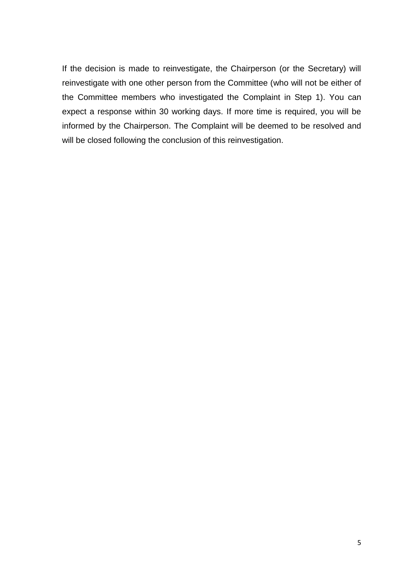If the decision is made to reinvestigate, the Chairperson (or the Secretary) will reinvestigate with one other person from the Committee (who will not be either of the Committee members who investigated the Complaint in Step 1). You can expect a response within 30 working days. If more time is required, you will be informed by the Chairperson. The Complaint will be deemed to be resolved and will be closed following the conclusion of this reinvestigation.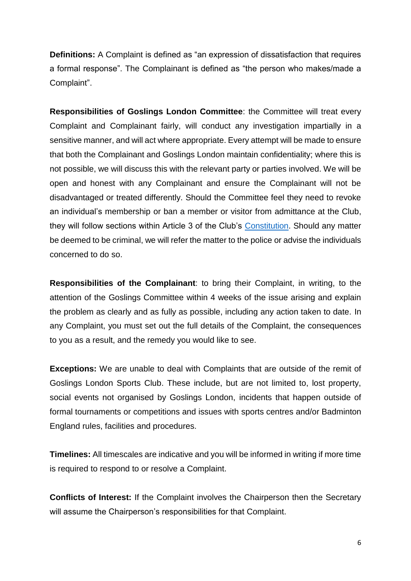**Definitions:** A Complaint is defined as "an expression of dissatisfaction that requires a formal response". The Complainant is defined as "the person who makes/made a Complaint".

**Responsibilities of Goslings London Committee**: the Committee will treat every Complaint and Complainant fairly, will conduct any investigation impartially in a sensitive manner, and will act where appropriate. Every attempt will be made to ensure that both the Complainant and Goslings London maintain confidentiality; where this is not possible, we will discuss this with the relevant party or parties involved. We will be open and honest with any Complainant and ensure the Complainant will not be disadvantaged or treated differently. Should the Committee feel they need to revoke an individual's membership or ban a member or visitor from admittance at the Club, they will follow sections within Article 3 of the Club's Constitution. Should any matter be deemed to be criminal, we will refer the matter to the police or advise the individuals concerned to do so.

**Responsibilities of the Complainant**: to bring their Complaint, in writing, to the attention of the Goslings Committee within 4 weeks of the issue arising and explain the problem as clearly and as fully as possible, including any action taken to date. In any Complaint, you must set out the full details of the Complaint, the consequences to you as a result, and the remedy you would like to see.

**Exceptions:** We are unable to deal with Complaints that are outside of the remit of Goslings London Sports Club. These include, but are not limited to, lost property, social events not organised by Goslings London, incidents that happen outside of formal tournaments or competitions and issues with sports centres and/or Badminton England rules, facilities and procedures.

**Timelines:** All timescales are indicative and you will be informed in writing if more time is required to respond to or resolve a Complaint.

**Conflicts of Interest:** If the Complaint involves the Chairperson then the Secretary will assume the Chairperson's responsibilities for that Complaint.